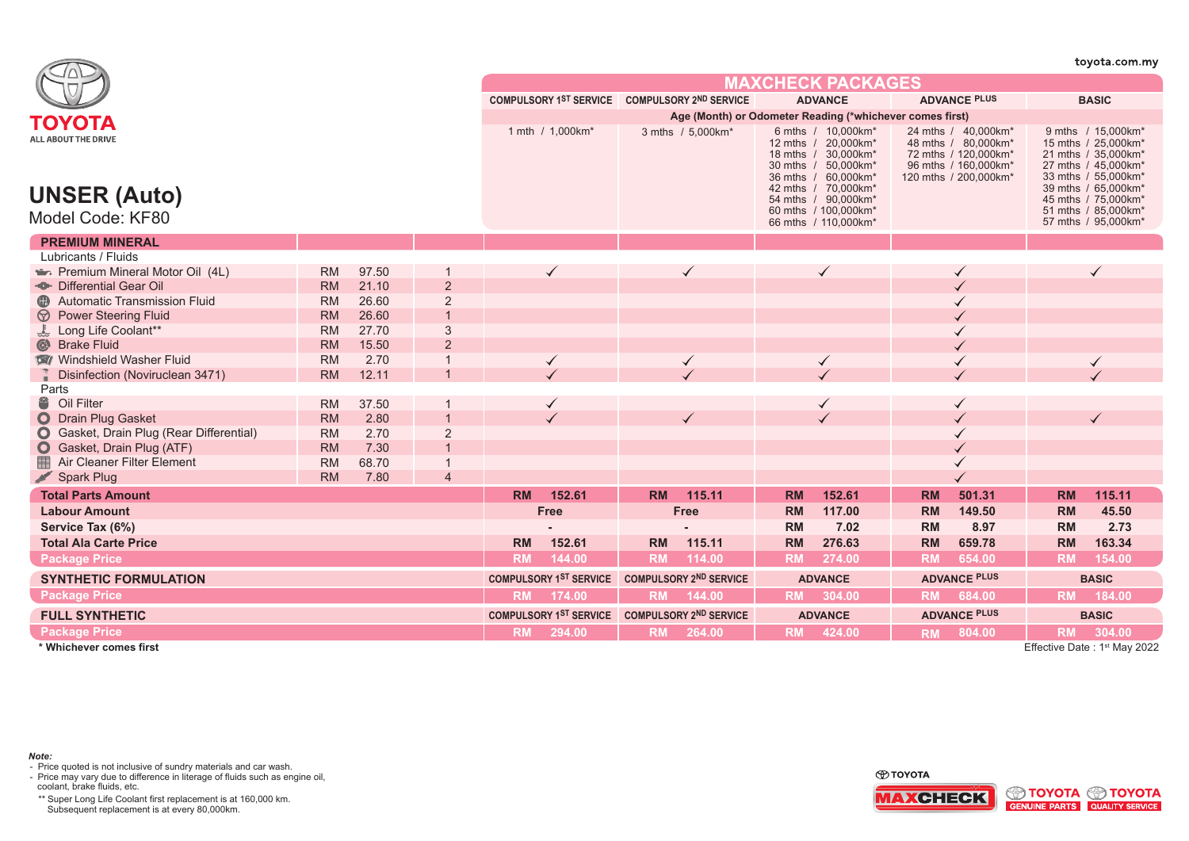|                                                       |           | toyota.com.my |                |              |                                                          |                                                                 |                                               |                                              |                                                                                                                                       |                     |                                                                                                                     |                     |                                                                                                                                       |  |  |
|-------------------------------------------------------|-----------|---------------|----------------|--------------|----------------------------------------------------------|-----------------------------------------------------------------|-----------------------------------------------|----------------------------------------------|---------------------------------------------------------------------------------------------------------------------------------------|---------------------|---------------------------------------------------------------------------------------------------------------------|---------------------|---------------------------------------------------------------------------------------------------------------------------------------|--|--|
|                                                       |           |               |                |              | MAXCHECK PACKAGES                                        |                                                                 |                                               |                                              |                                                                                                                                       |                     |                                                                                                                     |                     |                                                                                                                                       |  |  |
|                                                       |           |               |                |              |                                                          | COMPULSORY 1ST SERVICE COMPULSORY 2ND SERVICE<br><b>ADVANCE</b> |                                               |                                              |                                                                                                                                       |                     | <b>ADVANCE PLUS</b><br><b>BASIC</b>                                                                                 |                     |                                                                                                                                       |  |  |
| ΤΟΥΟΤΑ                                                |           |               |                |              | Age (Month) or Odometer Reading (*whichever comes first) |                                                                 |                                               |                                              |                                                                                                                                       |                     |                                                                                                                     |                     |                                                                                                                                       |  |  |
| ALL ABOUT THE DRIVE                                   |           |               |                |              | 1 mth / 1,000km*                                         |                                                                 | 3 mths / 5,000km*                             |                                              | 6 mths / 10,000km*<br>12 mths / 20,000km*<br>18 mths / 30,000km*<br>30 mths / 50,000km*<br>36 mths / 60,000km*<br>42 mths / 70.000km* |                     | 24 mths / 40,000km*<br>48 mths / 80,000km*<br>72 mths / 120,000km*<br>96 mths / 160,000km*<br>120 mths / 200,000km* |                     | 9 mths / 15,000km*<br>15 mths / 25,000km*<br>21 mths / 35,000km*<br>27 mths / 45,000km*<br>33 mths / 55,000km*<br>39 mths / 65,000km* |  |  |
| <b>UNSER (Auto)</b>                                   |           |               |                |              |                                                          |                                                                 |                                               | 54 mths / 90,000km*                          |                                                                                                                                       |                     |                                                                                                                     | 45 mths / 75,000km* |                                                                                                                                       |  |  |
| Model Code: KF80                                      |           |               |                |              |                                                          |                                                                 |                                               | 60 mths / 100,000km*<br>66 mths / 110,000km* |                                                                                                                                       |                     | 51 mths / 85,000km*<br>57 mths / 95,000km*                                                                          |                     |                                                                                                                                       |  |  |
| <b>PREMIUM MINERAL</b>                                |           |               |                |              |                                                          |                                                                 |                                               |                                              |                                                                                                                                       |                     |                                                                                                                     |                     |                                                                                                                                       |  |  |
| Lubricants / Fluids                                   |           |               |                |              |                                                          |                                                                 |                                               |                                              |                                                                                                                                       |                     |                                                                                                                     |                     |                                                                                                                                       |  |  |
| Premium Mineral Motor Oil (4L)                        | <b>RM</b> | 97.50         |                |              | $\checkmark$                                             |                                                                 |                                               |                                              |                                                                                                                                       |                     |                                                                                                                     |                     |                                                                                                                                       |  |  |
| <sup>-</sup> Differential Gear Oil                    | <b>RM</b> | 21.10         | $\overline{2}$ |              |                                                          |                                                                 |                                               |                                              |                                                                                                                                       |                     |                                                                                                                     |                     |                                                                                                                                       |  |  |
| <b>Automatic Transmission Fluid</b><br>$\bigoplus$    | <b>RM</b> | 26.60         | $\overline{2}$ |              |                                                          |                                                                 |                                               |                                              |                                                                                                                                       |                     |                                                                                                                     |                     |                                                                                                                                       |  |  |
| <b>Power Steering Fluid</b><br>$\circledcirc$         | <b>RM</b> | 26.60         | $\overline{1}$ |              |                                                          |                                                                 |                                               |                                              |                                                                                                                                       |                     |                                                                                                                     |                     |                                                                                                                                       |  |  |
| Long Life Coolant**<br>್ಲೊ                            | <b>RM</b> | 27.70         | $\mathfrak{S}$ |              |                                                          |                                                                 |                                               |                                              |                                                                                                                                       |                     |                                                                                                                     |                     |                                                                                                                                       |  |  |
| $\odot$<br><b>Brake Fluid</b>                         | <b>RM</b> | 15.50         | $\overline{2}$ |              |                                                          |                                                                 |                                               |                                              |                                                                                                                                       |                     |                                                                                                                     |                     |                                                                                                                                       |  |  |
| Windshield Washer Fluid                               | <b>RM</b> | 2.70          |                | ✓            |                                                          | $\checkmark$                                                    |                                               |                                              |                                                                                                                                       |                     |                                                                                                                     |                     | $\checkmark$                                                                                                                          |  |  |
| Disinfection (Noviruclean 3471)                       | <b>RM</b> | 12.11         |                |              |                                                          |                                                                 |                                               |                                              |                                                                                                                                       |                     |                                                                                                                     |                     |                                                                                                                                       |  |  |
| Parts                                                 |           |               |                |              |                                                          |                                                                 |                                               |                                              |                                                                                                                                       |                     |                                                                                                                     |                     |                                                                                                                                       |  |  |
| Sil Filter                                            | <b>RM</b> | 37.50         |                | $\checkmark$ |                                                          |                                                                 |                                               |                                              |                                                                                                                                       |                     |                                                                                                                     |                     |                                                                                                                                       |  |  |
| O Drain Plug Gasket                                   | <b>RM</b> | 2.80          |                |              |                                                          |                                                                 |                                               |                                              |                                                                                                                                       |                     |                                                                                                                     |                     |                                                                                                                                       |  |  |
| Gasket, Drain Plug (Rear Differential)<br>$\mathbf O$ | <b>RM</b> | 2.70          | $\overline{2}$ |              |                                                          |                                                                 |                                               |                                              |                                                                                                                                       |                     |                                                                                                                     |                     |                                                                                                                                       |  |  |
| Gasket, Drain Plug (ATF)<br>$\mathbf O$               | <b>RM</b> | 7.30          |                |              |                                                          |                                                                 |                                               |                                              |                                                                                                                                       |                     |                                                                                                                     |                     |                                                                                                                                       |  |  |
| Air Cleaner Filter Element                            | <b>RM</b> | 68.70         |                |              |                                                          |                                                                 |                                               |                                              |                                                                                                                                       |                     |                                                                                                                     |                     |                                                                                                                                       |  |  |
| Spark Plug                                            | <b>RM</b> | 7.80          | $\overline{4}$ |              |                                                          |                                                                 |                                               |                                              |                                                                                                                                       |                     |                                                                                                                     |                     |                                                                                                                                       |  |  |
| <b>Total Parts Amount</b>                             |           |               |                | <b>RM</b>    | 152.61                                                   | <b>RM</b>                                                       | 115.11                                        | <b>RM</b>                                    | 152.61                                                                                                                                | <b>RM</b>           | 501.31                                                                                                              | <b>RM</b>           | 115.11                                                                                                                                |  |  |
| <b>Labour Amount</b>                                  |           |               |                | Free         |                                                          | <b>Free</b>                                                     |                                               | <b>RM</b>                                    | 117.00                                                                                                                                | <b>RM</b>           | 149.50                                                                                                              | <b>RM</b>           | 45.50                                                                                                                                 |  |  |
| Service Tax (6%)                                      |           |               |                |              |                                                          |                                                                 |                                               | RM                                           | 7.02                                                                                                                                  | <b>RM</b>           | 8.97                                                                                                                | <b>RM</b>           | 2.73                                                                                                                                  |  |  |
| <b>Total Ala Carte Price</b>                          |           |               |                | <b>RM</b>    | 152.61                                                   | <b>RM</b>                                                       | 115.11                                        | RM                                           | 276.63                                                                                                                                | <b>RM</b>           | 659.78                                                                                                              | <b>RM</b>           | 163.34                                                                                                                                |  |  |
| <b>Package Price</b>                                  |           |               |                | <b>RM</b>    | 144.00                                                   | <b>RM</b>                                                       | 114.00                                        | <b>RM</b>                                    | 274.00                                                                                                                                | <b>RM</b>           | 654.00                                                                                                              | <b>RM</b>           | 154.00                                                                                                                                |  |  |
| <b>SYNTHETIC FORMULATION</b>                          |           |               |                |              |                                                          | COMPULSORY 1ST SERVICE COMPULSORY 2ND SERVICE                   |                                               | <b>ADVANCE</b>                               |                                                                                                                                       | <b>ADVANCE PLUS</b> |                                                                                                                     | <b>BASIC</b>        |                                                                                                                                       |  |  |
| <b>Package Price</b>                                  |           |               |                | <b>RM</b>    | 174.00                                                   |                                                                 | RM 144.00                                     |                                              | RM 304.00                                                                                                                             | <b>RM</b>           | 684.00                                                                                                              | <b>RM</b>           | 184.00                                                                                                                                |  |  |
| <b>FULL SYNTHETIC</b>                                 |           |               |                |              |                                                          |                                                                 | COMPULSORY 1ST SERVICE COMPULSORY 2ND SERVICE |                                              | <b>ADVANCE</b>                                                                                                                        |                     | <b>ADVANCE PLUS</b>                                                                                                 |                     | <b>BASIC</b>                                                                                                                          |  |  |
| <b>Package Price</b>                                  |           |               |                |              | RM 294.00                                                |                                                                 | RM 264.00                                     |                                              | RM 424.00                                                                                                                             |                     | RM 804.00                                                                                                           | <b>RM</b>           | 304.00                                                                                                                                |  |  |

**\* Whichever comes first**

Effective Date : 1st May 2022

- *Note:* Price quoted is not inclusive of sundry materials and car wash.
- Price may vary due to difference in literage of fluids such as engine oil, coolant, brake fluids, etc.

\*\* Super Long Life Coolant first replacement is at 160,000 km. Subsequent replacement is at every 80,000km.

⊕тоүотд